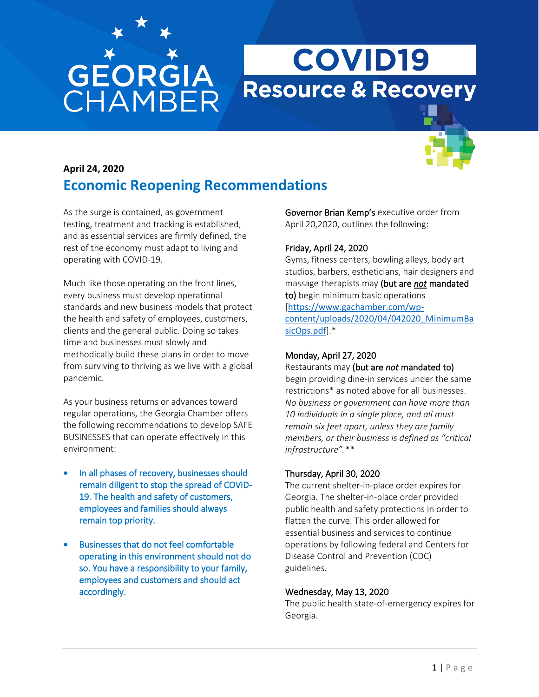# **GEORGIA**<br>CHAMBER

## **COVID19 Resource & Recovery**



### **April 24, 2020 Economic Reopening Recommendations**

As the surge is contained, as government testing, treatment and tracking is established, and as essential services are firmly defined, the rest of the economy must adapt to living and operating with COVID-19.

Much like those operating on the front lines, every business must develop operational standards and new business models that protect the health and safety of employees, customers, clients and the general public. Doing so takes time and businesses must slowly and methodically build these plans in order to move from surviving to thriving as we live with a global pandemic.

As your business returns or advances toward regular operations, the Georgia Chamber offers the following recommendations to develop SAFE BUSINESSES that can operate effectively in this environment:

- In all phases of recovery, businesses should remain diligent to stop the spread of COVID-19. The health and safety of customers, employees and families should always remain top priority.
- Businesses that do not feel comfortable operating in this environment should not do so. You have a responsibility to your family, employees and customers and should act accordingly.

Governor Brian Kemp's executive order from April 20,2020, outlines the following:

#### Friday, April 24, 2020

Gyms, fitness centers, bowling alleys, body art studios, barbers, estheticians, hair designers and massage therapists may (but are *not* mandated to) begin minimum basic operations [[https://www.gachamber.com/wp](https://www.gachamber.com/wp-content/uploads/2020/04/042020_MinimumBasicOps.pdf)[content/uploads/2020/04/042020\\_MinimumBa](https://www.gachamber.com/wp-content/uploads/2020/04/042020_MinimumBasicOps.pdf) [sicOps.pdf](https://www.gachamber.com/wp-content/uploads/2020/04/042020_MinimumBasicOps.pdf)].\*

#### Monday, April 27, 2020

Restaurants may (but are *not* mandated to) begin providing dine-in services under the same restrictions\* as noted above for all businesses. *No business or government can have more than 10 individuals in a single place, and all must remain six feet apart, unless they are family members, or their business is defined as "critical infrastructure".\*\**

#### Thursday, April 30, 2020

The current shelter-in-place order expires for Georgia. The shelter-in-place order provided public health and safety protections in order to flatten the curve. This order allowed for essential business and services to continue operations by following federal and Centers for Disease Control and Prevention (CDC) guidelines.

#### Wednesday, May 13, 2020

The public health state-of-emergency expires for Georgia.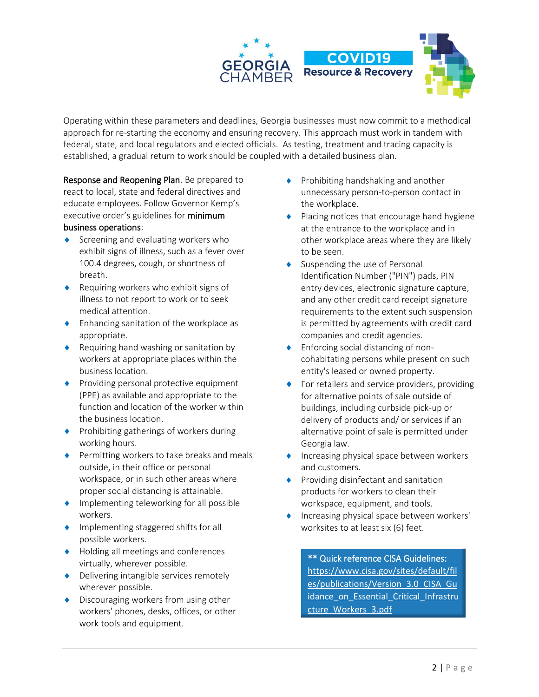

Operating within these parameters and deadlines, Georgia businesses must now commit to a methodical approach for re-starting the economy and ensuring recovery. This approach must work in tandem with federal, state, and local regulators and elected officials. As testing, treatment and tracing capacity is established, a gradual return to work should be coupled with a detailed business plan.

Response and Reopening Plan. Be prepared to react to local, state and federal directives and educate employees. Follow Governor Kemp's executive order's guidelines for minimum business operations:

- $\bullet$  Screening and evaluating workers who exhibit signs of illness, such as a fever over 100.4 degrees, cough, or shortness of breath.
- ◆ Requiring workers who exhibit signs of illness to not report to work or to seek medical attention.
- Enhancing sanitation of the workplace as appropriate.
- ◆ Requiring hand washing or sanitation by workers at appropriate places within the business location.
- ◆ Providing personal protective equipment (PPE) as available and appropriate to the function and location of the worker within the business location.
- ◆ Prohibiting gatherings of workers during working hours.
- ◆ Permitting workers to take breaks and meals outside, in their office or personal workspace, or in such other areas where proper social distancing is attainable.
- ◆ Implementing teleworking for all possible workers.
- ◆ Implementing staggered shifts for all possible workers.
- ◆ Holding all meetings and conferences virtually, wherever possible.
- ◆ Delivering intangible services remotely wherever possible.
- ◆ Discouraging workers from using other workers' phones, desks, offices, or other work tools and equipment.
- $\blacklozenge$  Prohibiting handshaking and another unnecessary person-to-person contact in the workplace.
- ◆ Placing notices that encourage hand hygiene at the entrance to the workplace and in other workplace areas where they are likely to be seen.
- Suspending the use of Personal Identification Number ("PIN") pads, PIN entry devices, electronic signature capture, and any other credit card receipt signature requirements to the extent such suspension is permitted by agreements with credit card companies and credit agencies.
- Enforcing social distancing of noncohabitating persons while present on such entity's leased or owned property.
- ◆ For retailers and service providers, providing for alternative points of sale outside of buildings, including curbside pick-up or delivery of products and/ or services if an alternative point of sale is permitted under Georgia law.
- $\bullet$  Increasing physical space between workers and customers.
- ◆ Providing disinfectant and sanitation products for workers to clean their workspace, equipment, and tools.
- Increasing physical space between workers' worksites to at least six (6) feet.

\*\* Quick reference CISA Guidelines: [https://www.cisa.gov/sites/default/fil](https://www.cisa.gov/sites/default/files/publications/Version_3.0_CISA_Guidance_on_Essential_Critical_Infrastructure_Workers_3.pdf) es/publications/Version 3.0 CISA Gu idance on Essential Critical Infrastru [cture\\_Workers\\_3.pdf](https://www.cisa.gov/sites/default/files/publications/Version_3.0_CISA_Guidance_on_Essential_Critical_Infrastructure_Workers_3.pdf)